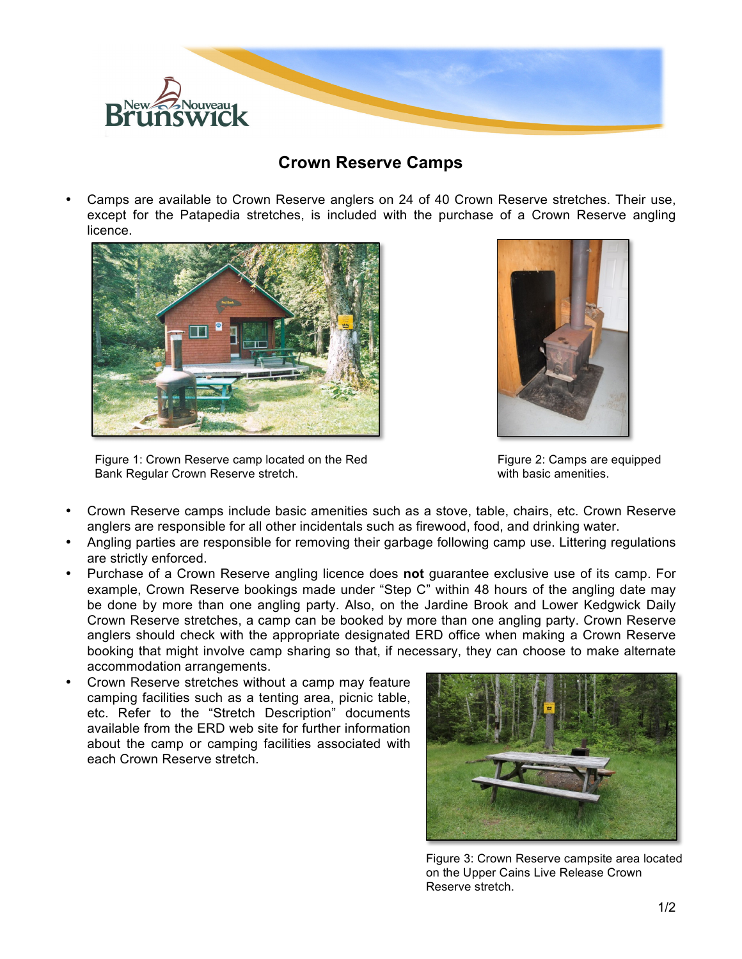

## **Crown Reserve Camps**

• Camps are available to Crown Reserve anglers on 24 of 40 Crown Reserve stretches. Their use, except for the Patapedia stretches, is included with the purchase of a Crown Reserve angling licence.



Figure 1: Crown Reserve camp located on the Red Bank Regular Crown Reserve stretch.



Figure 2: Camps are equipped with basic amenities.

- Crown Reserve camps include basic amenities such as a stove, table, chairs, etc. Crown Reserve anglers are responsible for all other incidentals such as firewood, food, and drinking water.
- Angling parties are responsible for removing their garbage following camp use. Littering regulations are strictly enforced.
- Purchase of a Crown Reserve angling licence does **not** guarantee exclusive use of its camp. For example, Crown Reserve bookings made under "Step C" within 48 hours of the angling date may be done by more than one angling party. Also, on the Jardine Brook and Lower Kedgwick Daily Crown Reserve stretches, a camp can be booked by more than one angling party. Crown Reserve anglers should check with the appropriate designated ERD office when making a Crown Reserve booking that might involve camp sharing so that, if necessary, they can choose to make alternate accommodation arrangements.
- Crown Reserve stretches without a camp may feature camping facilities such as a tenting area, picnic table, etc. Refer to the "Stretch Description" documents available from the ERD web site for further information about the camp or camping facilities associated with each Crown Reserve stretch.



Figure 3: Crown Reserve campsite area located on the Upper Cains Live Release Crown Reserve stretch.